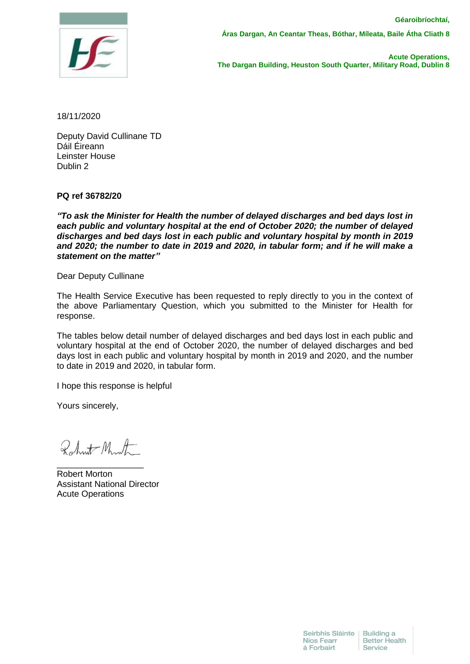

**Áras Dargan, An Ceantar Theas, Bóthar, Míleata, Baile Átha Cliath 8** 

 **Acute Operations, The Dargan Building, Heuston South Quarter, Military Road, Dublin 8**

18/11/2020

Deputy David Cullinane TD Dáil Éireann Leinster House Dublin 2

**PQ ref 36782/20**

*"To ask the Minister for Health the number of delayed discharges and bed days lost in each public and voluntary hospital at the end of October 2020; the number of delayed discharges and bed days lost in each public and voluntary hospital by month in 2019 and 2020; the number to date in 2019 and 2020, in tabular form; and if he will make a statement on the matter"*

Dear Deputy Cullinane

The Health Service Executive has been requested to reply directly to you in the context of the above Parliamentary Question, which you submitted to the Minister for Health for response.

The tables below detail number of delayed discharges and bed days lost in each public and voluntary hospital at the end of October 2020, the number of delayed discharges and bed days lost in each public and voluntary hospital by month in 2019 and 2020, and the number to date in 2019 and 2020, in tabular form.

I hope this response is helpful

Yours sincerely,

Robert Month

\_\_\_\_\_\_\_\_\_\_\_\_\_\_\_\_\_\_

Robert Morton Assistant National Director Acute Operations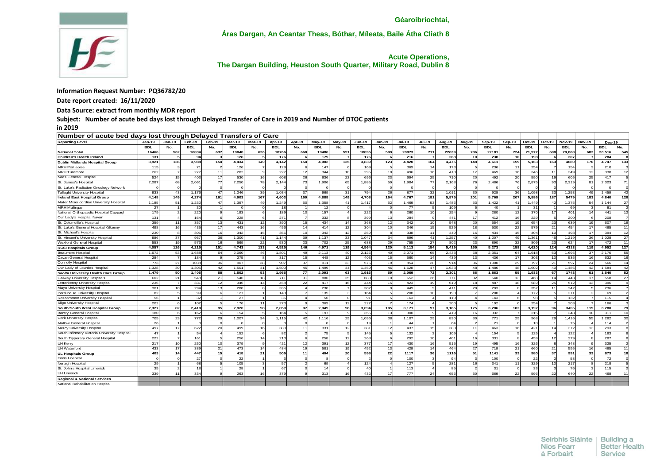

**Áras Dargan, An Ceantar Theas, Bóthar, Míleata, Baile Átha Cliath 8** 

 **Acute Operations, The Dargan Building, Heuston South Quarter, Military Road, Dublin 8**

## **Information Request Number: PQ36782/20**

**Date report created: 16/11/2020**

**Data Source: extract from monthly MDR report**

**Subject: Number of acute bed days lost through Delayed Transfer of Care in 2019 and Number of DTOC patients**

**in 2019**

| Number of acute bed days lost through Delayed Transfers of Care |            |                |            |        |            |              |            |                |            |                 |               |                |               |               |            |                |            |               |            |                |               |                |               |                |
|-----------------------------------------------------------------|------------|----------------|------------|--------|------------|--------------|------------|----------------|------------|-----------------|---------------|----------------|---------------|---------------|------------|----------------|------------|---------------|------------|----------------|---------------|----------------|---------------|----------------|
| <b>Reporting Level</b>                                          | $Jan-19$   | $Jan-19$       | Feb-19     | Feb-19 | Mar-19     | Mar-19       | Apr-19     | Apr-19         | Mav-19     | <b>Mav-19</b>   | <b>Jun-19</b> | <b>Jun-19</b>  | <b>Jul-19</b> | <b>Jul-19</b> | Aug-19     | Aug-19         | Sep-19     | <b>Sep-19</b> | Oct-19     | Oct-19         | <b>Nov-19</b> | <b>Nov-19</b>  | <b>Dec-19</b> |                |
|                                                                 | <b>BDL</b> | No.            | <b>BDL</b> | No.    | <b>BDL</b> | No.          | <b>BDL</b> | No.            | <b>BDL</b> | No.             | <b>BDL</b>    | No.            | <b>BDL</b>    | No.           | <b>BDL</b> | No.            | <b>BDL</b> | No.           | <b>BDL</b> | No.            | BDL           | No.            | <b>BDL</b>    | No.            |
| <b>National Total</b>                                           | 16466      | 562            | 16834      | 637    | 19048      | 626          | 18766      | 660            | 19486      | 591             | 18895         | 599            | 20873         | 711           | 22639      | 786            | 22181      | 724           | 21,972     | 680            | 20.868        | 682            | 20.516        | 545            |
| <b>Children's Health Ireland</b>                                | 131        |                | 94         | з      | 128        |              | 176        | 6              | 179        |                 | 176           |                | 216           |               | 268        | 10             | 238        | 10            | 198        |                | 207           |                | 284           |                |
| <b>Dublin Midlands Hospital Group</b>                           | 3,921      | 136            | 3.988      | 154    | 4.434      | 149          | 4,142      | 154            | 4.002      | 135             | 3,839         | 123            | 4,420         | 164           | 4.475      | 148            | 4,611      | 159           | 5,163      | 163            | 4680          | 170            | 4.747         | 133            |
| <b>MRH Portlaoise</b>                                           | 115        |                | 71         |        | 126        |              | 129        | -6             | 147        |                 | 169           | 5              | 369           | 14            | 173        | - 5            | 236        | 11            | 254        |                | 154           |                | 210           |                |
| <b>MRH</b> Tullamore                                            | 262        |                | 277        | 11     | 282        | $\alpha$     | 227        | 12             | 344        | 10              | 295           | 10             | 496           | 16            | 413        | 17             | 469        | 16            | 346        | 11             | 349           | 12             | 338           | 12             |
| Naas General Hospital                                           | 524        | 15             | 403        | 17     | 530        | 16           | 608        | 26             | 636        | 23              | 696           | 23             | 694           | 25            | 710        | 20             | 492        | 20            | 590        | 19             | 605           | 25             | 417           | 5              |
| St. James's Hospita                                             | 2.087      | 68             | 2.061      | 77     | 2.250      | 78           | 2.144      | 73             | 1.906      | 65              | 1.885         | 59             | 1.984         | 77            | 2.168      | 76             | 2.486      | 76            | 2.875      | 93             | 2.319         | 81             | 2.323         | 71             |
| St. Luke's Radiation Oncology Network                           |            |                |            |        | $\Omega$   |              | $\Omega$   | $\Omega$       | <b>C</b>   |                 |               | $\Omega$       |               |               |            | $\Omega$       |            | $\Omega$      |            |                |               |                |               | $\Omega$       |
| Tallaght University Hospital                                    | 933        | 43             | 1.176      | 47     | 1,246      | 39           | 1.034      | 37             | 969        | 31              | 794           | 26             | 877           | 32            | 1.011      | 30             | 928        | 36            | 1.098      | 33             | 1,253         | 49             | 1.459         | 42             |
| <b>Ireland East Hospital Group</b>                              | 4,148      | 149            | 4,274      | 161    | 4,903      | 167          | 4,603      | 169            | 4,888      | 149             | 4,708         | 164            | 4,767         | 181           | 5,875      | 201            | 5,769      | 207           | 5,886      | 187            | 5479          | 183            | 4,840         | 128            |
| Mater Misericordiae University Hospital                         | 1,185      | 51             | 1,232      | 47     | 1,397      | 49           | 1,249      | 50             | 1,358      | $\mathbf{A}$    | 1,417         | 52             | 1,469         |               | 1,486      | 53             | 1,422      | 41            | ,449       | $\Delta'$      | 1,375         | 54             | 1.144         | 27             |
| <b>MRH Mullingar</b>                                            | 27         |                | 30         |        | $\Omega$   |              | 18         |                | 12         |                 |               |                | 77            |               | 109        |                | 40         |               | 31         |                | 69            |                | 81            |                |
| National Orthopaedic Hospital Cappagh                           | 179        |                | 220        |        | 193        |              | 189        | 10             | 157        |                 | 222           |                | 260           |               | 254        |                | 280        | 12            | 370        | 17             | 401           | 14             | 441           | 12             |
| Our Lady's Hospital Navar                                       | 131        |                | 164        |        | 228        |              | 271        |                | 332        |                 | 399           | 13             | 284           |               | 441        | 17             | 412        | 16            | 229        |                | 200           |                | 208           |                |
| St. Columcille's Hospita                                        | 359        |                | 357        | 13     | 431        | 12           | 390        | 15             | 434        | 14              | 368           | 12             | 342           |               | 548        | 20             | 554        | 19            | 654        | 23             | 639           | 1 <sup>1</sup> | 607           | 19             |
| St. Luke's General Hospital Kilkenny                            | 498        | 16             | 435        | 17     | 443        | 16           | 456        | 14             | 414        | 12              | 304           | 10             | 346           | 15            | 529        | 18             | 530        | 22            | 579        | 21             | 454           | 17             | 465           | 11             |
| St. Michael's Hospital                                          | 230        |                | 306        | 16     | 342        | 15           | 356        | 10             | 342        | 12              | 259           | $\mathbf{a}$   | 338           | 11            | 449        | 16             | 434        | 15            | 404        | 10             | 498           | 17             | 394           | 12             |
| St. Vincent's University Hospita                                | 986        | 37             | 957        | 36     | 1.300      | 41           | 1.144      | 39             | 1.137      | 33              | 1.047         | 34             | 896           | 41            | 1.257      | 40             | 1.207      | 49            | 1.361      | 45             | 1.219         | 36             | 1.028         | 27             |
| Wexford General Hospita                                         | 553        | 19             | 573        | 16     | 569        | 22           | 530        | 23             | 702        | 25              | 688           | 29             | 755           | 27            | 802        | 23             | 890        | 32            | 809        | 23             | 624           | 17             | 472           | 11             |
| <b>RCSI Hospitals Group</b>                                     | 4,057      | 126            | 4.215      | 151    | 4,743      | 133          | 4,525      | 146            | 4,971      | 119             | 4,564         | 120            | 5,113         | 154           | 5,419      | 165            | 5,273      | 158           | 4,620      | 124            | 4313          | 119            | 4,952         | 127            |
| <b>Beaumont Hospital</b>                                        | 1,672      | 53             | 1.688      | 64     | 2.060      | 46           | 1.801      | 49             | 2.113      | 40              | 2.126         | 40             | 2.071         | 65            | 2.433      | 68             | 2.35'      | 64            | 1.918      | 53             | 1.695         | 37             | 2.170         | 55             |
| Cavan General Hospital                                          | 284        |                | 184        |        | 275        |              | 317        | 15             | 448        | 12              | 403           | 15             | 560           | 14            | 439        | 13             | 436        | 17            | 303        | 10             | 535           | 16             | 632           | 16             |
| Connolly Hospita                                                | 773        | 27             | 1038       | 36     | 907        | 38           | 907        | 37             | 911        | 23              | 576           | 19             | 854           | 28            | 914        | 36             | 1000       | 29            | 797        | 21             | 597           | 24             | 566           | 14             |
| Our Lady of Lourdes Hospital                                    | 1,328      | 39             | 1.305      | 42     | 1,501      | 41           | 1.500      | 45             | 1.499      | 44              | 1.459         | 46             | 1,628         | 47            | 1.633      | 48             | 1.486      | 48            | 1,602      | 40             | 1.486         | 42             | 1.584         | 42             |
| Saolta University Health Care Group                             | 1,479      | 50             | 1.406      | 58     | 1,502      | 53           | 1,955      | 77             | 2,093      | 63              | 1,916         | 59             | 2,069         | <b>72</b>     | 2.301      | 86             | 1,863      | 55            | 1,933      | 67             | 1743          | 51             | 1,540         | 52             |
| Galway University Hospitals                                     | 602        | 21             | 548        | 21     | 546        | 18           | 711        | 31             | 886        | 25              | 688           | 18             | 652           | 26            | 771        | 32             | 540        | 13            | 468        | 14             | 44%           | 17             | 558           | 27             |
| Letterkenny University Hospita                                  | 236        |                | 331        | 12     | 346        | 14           | 458        | 22             | 417        | 16 <sup>1</sup> | 444           | 15             | 423           | 19            | 619        | 18             | 487        | 18            | 589        | 25             | 512           | 13             | 396           | $\alpha$       |
| Mayo University Hospital                                        | 301        | 10             | 294        | 13     | 280        |              | 335        | $\overline{4}$ | 230        |                 | 302           | $\mathbf{q}$   | 449           |               | 411        | 20             | 293        | 8             | 352        | 11             | 242           |                | 236           |                |
| Portiuncula University Hospital                                 | 82         |                | 99         |        | 127        |              | 143        | $\overline{7}$ | 135        |                 | 164           | -5             | 208           | 10            | 190        | $\overline{7}$ | 208        | $\Delta$      | 172        |                | 211           |                | 69            | $\mathcal{P}$  |
| Roscommon University Hospital                                   | 56         |                | 32         |        | 27         |              | 35         | $\Delta$       | 56         |                 | 91            | -5             | 163           |               | 110        |                | 143        | $\mathbf{g}$  | 98         |                | 132           |                | 115           |                |
| Sligo University Hospital                                       | 202        |                | 102        |        | 176        | 11           | 273        | $\mathbf{q}$   | 369        | 12              | 227           | $\overline{7}$ | 174           |               | 200        |                | 192        | 6             | 254        |                | 203           |                | 166           |                |
| South/South West Hospital Group                                 | 2,327      | 82             | 2,410      | 95     | 2,920      | 98           | 2,859      | 97             | 2,949      | 98              | 3,094         | 105            | 3,171         | 97            | 3,185      | 125            | 3,286      | 102           | 3,192      | 96             | 3455          | 119            | 3,280         | 79             |
| <b>Bantry General Hospita</b>                                   | 180        |                | 162        |        | 154        |              | 164        |                | 197        |                 | 356           | 13             | 300           |               | 419        | 16             | 332        |               | 215        |                | 248           | 10             | 311           | 10             |
| Cork University Hospital                                        | 705        | $\mathcal{D}'$ | 772        | 25     | 1,007      | 34           | 1,115      | 42             | 1,116      | 29              | 1,096         | 38             | 1,107         | 29            | 830        | 30             | 771        | 29            | 968        | $\overline{2}$ | 1,416         | 55             | 1,282         | 30             |
| Mallow General Hospital                                         | 26         |                |            |        |            |              |            |                |            |                 | 19            |                | 44            |               | 64         |                | 21         |               | 18         |                | 75            |                | 114           |                |
| Mercy University Hospital                                       | 497        |                | 622        | 20     | 499        | 16           | 380        | 11             | 331        | 12              | 381           | 12             | 437           |               | 383        | 11             | 463        | 16            | 421        |                | 372           | 1 <sup>′</sup> | 293           |                |
| South Infirmary Victoria University Hospital                    | 47         |                | 54         |        | 152        |              | 82         | $\mathfrak{p}$ | 75         |                 | 145           |                | 132           |               | 109        |                | 154        | F,            | 125        |                | 122           |                | 183           |                |
| South Tipperary General Hospital                                | 222        |                | 161        |        | 256        | 14           | 213        | $\epsilon$     | 258        | 12              | 268           |                | 292           | 10            | 401        | 16             | 331        | $\mathbf{R}$  | 459        |                | 279           |                | 287           |                |
| UH Kerry                                                        | 217        | 10             | 250        | 10     | 379        | $\mathbf{Q}$ | 421        | 12             | 391        | 12              | 377           | 17             | 430           | 16            | 515        | 19             | 495        | 16            | 326        |                | 348           |                | 325           |                |
| UH Waterford                                                    | 433        | 17             | 389        | 21     | 473        | 14           | 484        | 19             | 581        | 19              | 452           | 13             | 429           | 14            | 464        | 27             | 719        | 21            | 660        | 21             | 595           | 16             | 485           | 11             |
| <b>UL Hospitals Group</b>                                       | 403        | 14             | 447        | 15     | 418        | 21           | 506        | 11             | 404        | 20              | 598           | 22             | 1117          | 36            | 1116       | 51             | 1141       | 33            | 980        | 37             | 991           | 33             | 873           | 18             |
| <b>Ennis Hospital</b>                                           | $\Omega$   |                | 27         |        | 22         |              |            | $\Omega$       |            |                 |               | $\Omega$       | 100           |               | 94         |                | 100        | $\Omega$      | 22         |                | 58            |                | 72            | $\Omega$       |
| Nenagh Hospital                                                 | 29         |                | 68         |        | 105        |              | 57         | $\mathcal{D}$  | 69         |                 | 124           |                | 127           |               | 281        | 16             | 341        | 11            | 329        |                | 217           |                | 218           |                |
| St. John's Hospital Limerick                                    | 35         |                | 18         |        | 28         |              | 67         | $\Omega$       | 14         |                 | 40            |                | 113           |               | 85         | $\overline{2}$ | 31         | $\Omega$      | 33         |                | 76            |                | 115           | $\overline{2}$ |
| UH Limerick                                                     | 339        | 11             | 334        |        | 263        | 16           | 379        | <b>Q</b>       | 313        | 16              | 432           | 17             | 777           | 24            | 656        | 30             | 669        | 22            | 596        | 22             | 640           | 22             | 468           | 11             |
| <b>Regional &amp; National Services</b>                         |            |                |            |        |            |              |            |                |            |                 |               |                |               |               |            |                |            |               |            |                |               |                |               |                |
| National Rehabilitation Hospita                                 |            |                |            |        |            |              |            |                |            |                 |               |                |               |               |            |                |            |               |            |                |               |                |               |                |
|                                                                 |            |                |            |        |            |              |            |                |            |                 |               |                |               |               |            |                |            |               |            |                |               |                |               |                |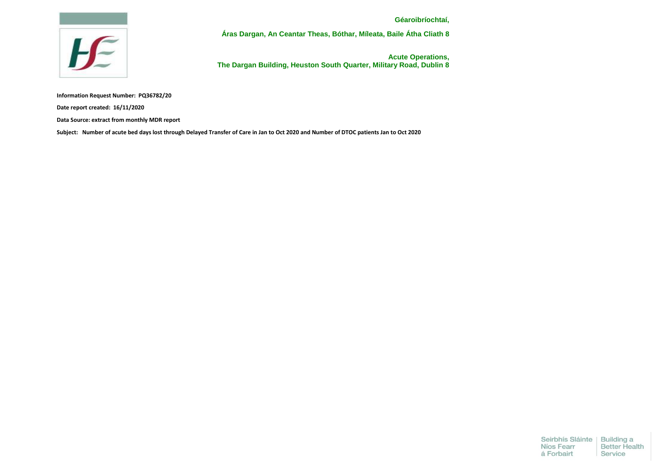

**Áras Dargan, An Ceantar Theas, Bóthar, Míleata, Baile Átha Cliath 8** 

 **Acute Operations, The Dargan Building, Heuston South Quarter, Military Road, Dublin 8**

**Information Request Number: PQ36782/20**

**Date report created: 16/11/2020**

**Data Source: extract from monthly MDR report**

**Subject: Number of acute bed days lost through Delayed Transfer of Care in Jan to Oct 2020 and Number of DTOC patients Jan to Oct 2020**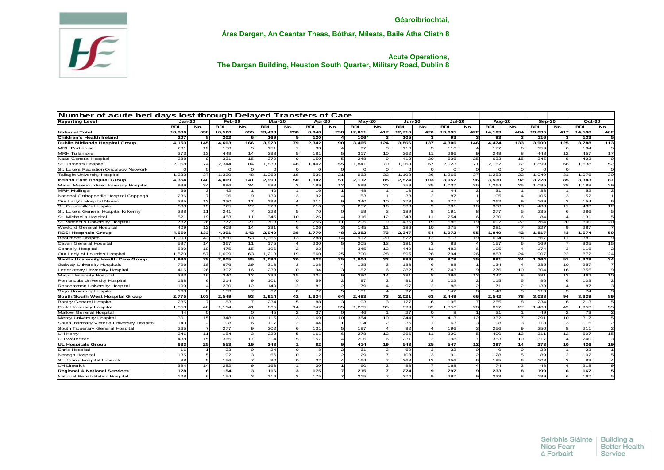

**Áras Dargan, An Ceantar Theas, Bóthar, Míleata, Baile Átha Cliath 8** 

## **Acute Operations, The Dargan Building, Heuston South Quarter, Military Road, Dublin 8**

| <b>BDL</b><br><b>BDL</b><br><b>BDL</b><br>No.<br><b>BDL</b><br><b>BDL</b><br>No.<br><b>BDL</b><br><b>BDL</b><br>No.<br><b>BDL</b><br>No.<br><b>BDL</b><br>No.<br><b>BDL</b><br>No.<br>No.<br>No.<br>No.<br>No.<br>12,716<br>18,880<br>638<br>18,526<br>655<br>13,498<br>238<br>8,048<br>298<br>12,051<br>420<br>13,695<br>422<br>404<br>13,835<br>14,538<br>417<br>14,109<br>417<br>207<br>202<br>169<br>105<br>133<br>5<br>120<br>106<br>93<br>93<br>116<br>3<br>4,153<br>145<br>4,603<br>166<br>3,923<br>79<br>2,342<br>90<br>3,465<br>124<br>3,866<br>137<br>4,306<br>4,474<br>133<br>3,900<br>125<br>3,788<br>146<br>33<br>97<br>116<br>177<br>159<br>201<br>12<br>150<br>151<br>11<br>$\overline{4}$<br>3<br>116<br>6<br>6<br>194<br>F<br>$\boldsymbol{A}$<br>373<br>13<br>449<br>14<br>298<br>181<br>317<br>10<br>262<br>266<br>249<br>8<br>448<br>12<br>457<br><b>MRH</b> Tullamore<br>-51<br>5<br>11<br>$\overline{9}$<br>288<br>412<br>20<br>331<br>15<br>379<br>эI<br>150<br>248<br>$\overline{9}$<br>636<br>25<br>633<br>15<br>345<br>423<br>9<br>5<br>8<br>67<br>84<br>46<br>70<br>71<br>72<br>2,058<br>74<br>2,344<br>1,833<br>1,442<br>55<br>1,841<br>1,968<br>2,023<br>2,162<br>1,899<br>68<br>1,638<br>$\Omega$<br>$\circ$<br>$\Omega$<br>$\Omega$<br>$\Omega$<br>ി<br>$\Omega$<br>$\Omega$<br>$\Omega$<br>$\Omega$<br>$\Omega$<br>$\Omega$<br>$\Omega$<br>$\Omega$<br>$\Omega$<br>$\Omega$<br>$\Omega$<br>$\Omega$<br>37<br>1.233<br>37<br>1,329<br>48<br>1,262<br>18<br>536<br>21<br>962<br>32<br>1.108<br>36<br>1.265<br>1.253<br>32 <sub>l</sub><br>1.049<br>31<br>1.076<br>92<br>4,354<br>140<br>4,069<br>141<br>2,990<br>50<br>1,302<br>51<br>2,112<br>85<br>2,574<br>103<br>3,052<br>96<br>3,530<br>3,228<br>85<br>3,383<br>25<br>22<br>35<br>36<br>999<br>34<br>896<br>34<br>588<br>3<br>189<br>12<br>599<br>759<br>1,037<br>1,264<br>1,095<br>28<br>1,188<br><b>MRH Mullingar</b><br>66<br>3<br>42<br>$\overline{1}$<br>40<br>11<br>48<br>13<br>31<br>38<br>52<br>16<br>$\mathbf{1}$<br>$\mathbf{1}$<br>44<br>$\mathcal{P}$<br>$\mathbf{1}$<br>$\mathbf{1}$<br>$\mathbf{1}$<br>92<br>87<br>236<br>139<br>53<br>38<br>105<br>105<br>52<br>7<br>196<br>9<br>3<br>$\overline{\mathbf{A}}$<br>$\overline{2}$<br>$\overline{4}$<br>3<br>$\mathbf{1}$<br>335<br>13<br>330<br>198<br>211<br>340<br>10 <sup>1</sup><br>273<br>277<br>262<br>169<br>154<br>Our Lady's Hospital Navan<br>11<br>$\overline{4}$<br>9<br>$\overline{7}$<br>$\mathbf{9}$<br>3<br>8<br>725<br>27<br>523<br>338<br>388<br>408<br>608<br>15<br>216<br>257<br>16<br>301<br>13<br>11<br>433<br>9<br>10<br>$\overline{ }$<br>$\mathbf{Q}$<br>398<br>241<br>7<br>223<br>70<br>59<br>277<br>235<br>St. Luke's General Hospital Kilkenny<br>11<br><sub>5</sub><br>$\Omega$<br>$\vert$ <sub>3</sub> $\vert$<br>189<br>191<br>5<br>6<br>286<br>8<br>8<br>10<br>12<br>343<br>521<br>19<br>453<br>11<br>345<br>126<br>316<br>11<br>254<br>230<br>6<br>84<br>131<br>6<br>$\boldsymbol{\Lambda}$<br>$\overline{4}$<br>782<br>777<br>27<br>703<br>256<br>22<br>764<br>26<br>9<br>11<br>295<br>$\mathbf{Q}$<br>435<br>19<br>586<br>19<br>692<br>20<br>800<br>409<br>12<br>409<br>14<br>231<br>-6<br>126<br>3<br>145<br>11<br>186<br>10<br>275<br>$\overline{ }$<br>281<br>$\overline{7}$<br>327<br>9<br>287<br>133<br>142<br>2,949<br>38<br>2,252<br>73<br>2,347<br>54<br>1,972<br>55<br>42<br>4,650<br>4,391<br>1,770<br>48<br>1,849<br>1,817<br>43<br>1,674<br>20<br>43<br>53<br>13<br>14<br>912<br>822<br>12<br>19<br>1,903<br>1.850<br>1,365<br>788<br>613<br>614<br>8l<br>567<br>11<br>381<br>13<br>597<br>14<br>367<br>11<br>175<br>$\overline{4}$<br>230<br>205<br>181<br>83<br>157<br>6<br>169<br>305<br>5<br>$\mathbf{3}$<br>$\overline{7}$<br>$\overline{4}$<br>12<br>580<br>475<br>15<br>$\overline{2}$<br>92<br>345<br>449<br>482<br>195<br>174<br>19<br>196<br>$\overline{4}$<br>11<br>$\overline{4}$<br>$\mathbf{3}$<br>116<br>6<br>63<br>19<br>660<br>28<br>895<br>28<br>794<br>26<br>907<br>22<br>1,570<br>57<br>1,699<br>1,213<br>25<br>790<br>883<br>24<br>872<br>33<br>26<br>1,980<br>78<br>2,005<br>85<br>1,094<br>20 <sub>l</sub><br>623<br>25<br>1,004<br>986<br>979<br>35<br>991<br>34<br>1,264<br>51<br>1,338<br>$\overline{\mathbf{3}}$<br>$\overline{\mathbf{3}}$<br>726<br>18<br>676<br>29<br>313<br>108<br>$\overline{4}$<br>125<br>138<br>88<br>134<br>$\overline{4}$<br>235<br>10<br>257<br>6<br>276<br>416<br>26<br>392<br>16<br>233<br>$\circ$<br>94<br>3<br>182<br>6<br>282<br>243<br>10<br>304<br>16<br>355<br>5<br>9<br>333<br>340<br>12<br>236<br>15<br>204<br>390<br>14<br>281<br>296<br>13<br>247<br>381<br>12<br>462<br>16<br>8<br>$\mathbf{Q}$<br>8<br>138<br>6<br>214<br>59<br>97<br>$\overline{2}$<br>91<br>122<br>96<br>103<br>9<br>101<br>$\Omega$<br>$\mathcal{P}$<br>115<br>5<br>$\overline{2}$<br>6<br>199<br>230<br>12<br>149<br>$\overline{2}$<br>81<br>79<br>97<br>88<br>$\overline{71}$<br>138<br>87<br>$\overline{2}$<br>$\mathcal{P}$<br>4<br>$\boldsymbol{A}$<br>168<br>153<br>$\overline{7}$<br>62<br>ol<br>77<br>131<br>97<br>142<br>148<br>110<br>74<br>Æ<br>$\mathcal{P}$<br>5<br>3<br>5<br>$\overline{\mathbf{A}}$<br>8<br>42<br>78<br>2,775<br>103<br>2,549<br>93<br>1,914<br>1,634<br>64<br>2,483<br>73<br>2,021<br>63<br>2,449<br>66<br>2,542<br>3,038<br>94<br>3,629<br>285<br>$\overline{7}$<br>234<br>-5 I<br>88<br>93<br>$\vert$ <sub>3</sub> $\vert$<br>127<br>195<br>$\overline{z}$<br>255<br>8<br>234<br>213<br>183<br>3<br>$\epsilon$<br>6<br>1,053<br>41<br>665<br>14<br>847<br>35<br>899<br>32<br>1,056<br>28<br>817<br>27<br>1,468<br>49<br>1,953<br>46<br>1,114<br>35<br>1,205<br>27<br>31<br>44<br>$\circ$<br>$\circ$<br>45<br>$\mathbf{2}$<br>37<br>$\circ$<br>46<br>$\circ$<br>$\vert$ 1<br>49<br>$\overline{2}$<br>73<br>$\mathbf{1}$<br>8<br>$\mathbf{1}$<br>244<br>15<br>10<br>115<br>31<br>169<br>10<br>354<br>10<br>413<br>12<br>332<br>$\overline{7}$<br>291<br>10<br>317<br>301<br>348<br>$\overline{7}$<br>108<br>6<br>117<br>$\overline{2}$<br>$\vert$ 2<br>35<br>98<br>143<br>$\overline{2}$<br>44<br>$\mathbf{1}$<br>104<br>63<br>$\overline{\mathbf{3}}$<br>118<br>115<br>$\mathbf{1}$<br>$\mathbf{3}$<br>3<br>92<br>256<br>250<br>265<br>7<br>277<br>$\mathbf{9}$<br>202<br>$6 \mid$<br>131<br>197<br>196<br>9l<br>211<br>5<br>$\vert$<br>$\mathbf{3}$<br>8<br>$\overline{4}$<br>246<br>11<br>154<br>$\mathbf{3}$<br>222<br>$5 \vert$<br>161<br>278<br>12<br>366<br>11<br>320<br>400<br>13<br>311<br>12<br>507<br>6<br>5<br>17<br>157<br>353<br>UH Waterford<br>438<br>15<br>365<br>314<br>$5 \vert$<br>206<br>6<br>231<br>$\mathcal{P}$<br>198<br>$\overline{7}$<br>10<br>317<br>240<br>$\overline{4}$<br>$\overline{a}$<br>25<br>25<br>547<br>397<br>273<br>633<br>553<br>19<br>343<br>1 <sup>1</sup><br>82<br>414<br>19<br>543<br>12<br>14<br>10<br>426<br>9<br>23<br>24<br>3<br>32<br>28<br>23<br>16<br>$\Omega$<br>ol<br>61<br>69<br>3<br>$\circ$<br>8<br>$\mathcal{P}$<br>$\Omega$<br>$\Omega$<br>89<br>102<br>135<br>92<br>66<br>12<br>129<br>108<br>91<br>128<br>-5 I<br>5<br>з<br>$\Omega$<br>$\mathcal{P}$<br>$\overline{z}$<br>156<br>90<br>32<br>268<br>256<br>108<br>88<br>164<br>12<br>195<br>6<br>83<br>F<br>$\Omega$<br>$\boldsymbol{\Delta}$<br>394<br>282<br>163<br>30<br>60<br>98<br>168<br>74<br>48<br>218<br>14<br>3<br>9<br>$\mathbf{1}$<br>$\boldsymbol{\Lambda}$<br>128<br>154<br>116<br>з١<br>175<br>$\overline{\phantom{a}}$<br>215<br>$\overline{\phantom{a}}$<br>274<br>297<br>233<br>8<br>199<br>167<br>6<br>3<br>$\bullet$<br>$\bullet$<br>6<br>128<br>154<br>116<br>175<br>215<br>274<br>297<br>233<br>199<br>167<br>3<br>8l | <b>Reporting Level</b>                       | $Jan-20$ |  | $Feb-20$ |  | Number of acute bed days lost through Delayed Transfers of Care<br>Mar-20 |  | Apr-20 |  | $May-20$ |  | Jun-20 | <b>Jul-20</b> |  | Aug-20 |  | Sep-20 |  | $Oct-20$ |                              |
|---------------------------------------------------------------------------------------------------------------------------------------------------------------------------------------------------------------------------------------------------------------------------------------------------------------------------------------------------------------------------------------------------------------------------------------------------------------------------------------------------------------------------------------------------------------------------------------------------------------------------------------------------------------------------------------------------------------------------------------------------------------------------------------------------------------------------------------------------------------------------------------------------------------------------------------------------------------------------------------------------------------------------------------------------------------------------------------------------------------------------------------------------------------------------------------------------------------------------------------------------------------------------------------------------------------------------------------------------------------------------------------------------------------------------------------------------------------------------------------------------------------------------------------------------------------------------------------------------------------------------------------------------------------------------------------------------------------------------------------------------------------------------------------------------------------------------------------------------------------------------------------------------------------------------------------------------------------------------------------------------------------------------------------------------------------------------------------------------------------------------------------------------------------------------------------------------------------------------------------------------------------------------------------------------------------------------------------------------------------------------------------------------------------------------------------------------------------------------------------------------------------------------------------------------------------------------------------------------------------------------------------------------------------------------------------------------------------------------------------------------------------------------------------------------------------------------------------------------------------------------------------------------------------------------------------------------------------------------------------------------------------------------------------------------------------------------------------------------------------------------------------------------------------------------------------------------------------------------------------------------------------------------------------------------------------------------------------------------------------------------------------------------------------------------------------------------------------------------------------------------------------------------------------------------------------------------------------------------------------------------------------------------------------------------------------------------------------------------------------------------------------------------------------------------------------------------------------------------------------------------------------------------------------------------------------------------------------------------------------------------------------------------------------------------------------------------------------------------------------------------------------------------------------------------------------------------------------------------------------------------------------------------------------------------------------------------------------------------------------------------------------------------------------------------------------------------------------------------------------------------------------------------------------------------------------------------------------------------------------------------------------------------------------------------------------------------------------------------------------------------------------------------------------------------------------------------------------------------------------------------------------------------------------------------------------------------------------------------------------------------------------------------------------------------------------------------------------------------------------------------------------------------------------------------------------------------------------------------------------------------------------------------------------------------------------------------------------------------------------------------------------------------------------------------------------------------------------------------------------------------------------------------------------------------------------------------------------------------------------------------------------------------------------------------------------------------------------------------------------------------------------------------------------------------------------------------------------------------------------------------------------------------------------------------------------------------------------------------------------------------------------------------------------------------------------------------------------------------------------------------------------------------------------------------------------------------------------------------------------------------------------------------------------------------------------------------------------------------------------------------------------------------------------------------------------------------------------------------------------------------------------------------------------------------------------------------------------------------------------------------------------------------------------------------------------------------------------------------------------------------------------------------------------------------------------------------------------------------------------------------------------------------------------------------------------------------------------------------------------------------------------------------------------------------------------------------------------------------------------------------------------------------------------------------------------------------------------------------------------------------------------------------------------------------------------------------------------------------------------------------------------------------------------------------------------------------------------------------------------------------------------------------------------------------------------------------------------------------------------------------------|----------------------------------------------|----------|--|----------|--|---------------------------------------------------------------------------|--|--------|--|----------|--|--------|---------------|--|--------|--|--------|--|----------|------------------------------|
|                                                                                                                                                                                                                                                                                                                                                                                                                                                                                                                                                                                                                                                                                                                                                                                                                                                                                                                                                                                                                                                                                                                                                                                                                                                                                                                                                                                                                                                                                                                                                                                                                                                                                                                                                                                                                                                                                                                                                                                                                                                                                                                                                                                                                                                                                                                                                                                                                                                                                                                                                                                                                                                                                                                                                                                                                                                                                                                                                                                                                                                                                                                                                                                                                                                                                                                                                                                                                                                                                                                                                                                                                                                                                                                                                                                                                                                                                                                                                                                                                                                                                                                                                                                                                                                                                                                                                                                                                                                                                                                                                                                                                                                                                                                                                                                                                                                                                                                                                                                                                                                                                                                                                                                                                                                                                                                                                                                                                                                                                                                                                                                                                                                                                                                                                                                                                                                                                                                                                                                                                                                                                                                                                                                                                                                                                                                                                                                                                                                                                                                                                                                                                                                                                                                                                                                                                                                                                                                                                                                                                                                                                                                                                                                                                                                                                                                                                                                                                                                                                                                                                                                                                                 |                                              |          |  |          |  |                                                                           |  |        |  |          |  |        |               |  |        |  |        |  |          |                              |
|                                                                                                                                                                                                                                                                                                                                                                                                                                                                                                                                                                                                                                                                                                                                                                                                                                                                                                                                                                                                                                                                                                                                                                                                                                                                                                                                                                                                                                                                                                                                                                                                                                                                                                                                                                                                                                                                                                                                                                                                                                                                                                                                                                                                                                                                                                                                                                                                                                                                                                                                                                                                                                                                                                                                                                                                                                                                                                                                                                                                                                                                                                                                                                                                                                                                                                                                                                                                                                                                                                                                                                                                                                                                                                                                                                                                                                                                                                                                                                                                                                                                                                                                                                                                                                                                                                                                                                                                                                                                                                                                                                                                                                                                                                                                                                                                                                                                                                                                                                                                                                                                                                                                                                                                                                                                                                                                                                                                                                                                                                                                                                                                                                                                                                                                                                                                                                                                                                                                                                                                                                                                                                                                                                                                                                                                                                                                                                                                                                                                                                                                                                                                                                                                                                                                                                                                                                                                                                                                                                                                                                                                                                                                                                                                                                                                                                                                                                                                                                                                                                                                                                                                                                 | <b>National Total</b>                        |          |  |          |  |                                                                           |  |        |  |          |  |        |               |  |        |  |        |  |          | 402                          |
|                                                                                                                                                                                                                                                                                                                                                                                                                                                                                                                                                                                                                                                                                                                                                                                                                                                                                                                                                                                                                                                                                                                                                                                                                                                                                                                                                                                                                                                                                                                                                                                                                                                                                                                                                                                                                                                                                                                                                                                                                                                                                                                                                                                                                                                                                                                                                                                                                                                                                                                                                                                                                                                                                                                                                                                                                                                                                                                                                                                                                                                                                                                                                                                                                                                                                                                                                                                                                                                                                                                                                                                                                                                                                                                                                                                                                                                                                                                                                                                                                                                                                                                                                                                                                                                                                                                                                                                                                                                                                                                                                                                                                                                                                                                                                                                                                                                                                                                                                                                                                                                                                                                                                                                                                                                                                                                                                                                                                                                                                                                                                                                                                                                                                                                                                                                                                                                                                                                                                                                                                                                                                                                                                                                                                                                                                                                                                                                                                                                                                                                                                                                                                                                                                                                                                                                                                                                                                                                                                                                                                                                                                                                                                                                                                                                                                                                                                                                                                                                                                                                                                                                                                                 | Children's Health Ireland                    |          |  |          |  |                                                                           |  |        |  |          |  |        |               |  |        |  |        |  |          | 5 <sup>1</sup>               |
|                                                                                                                                                                                                                                                                                                                                                                                                                                                                                                                                                                                                                                                                                                                                                                                                                                                                                                                                                                                                                                                                                                                                                                                                                                                                                                                                                                                                                                                                                                                                                                                                                                                                                                                                                                                                                                                                                                                                                                                                                                                                                                                                                                                                                                                                                                                                                                                                                                                                                                                                                                                                                                                                                                                                                                                                                                                                                                                                                                                                                                                                                                                                                                                                                                                                                                                                                                                                                                                                                                                                                                                                                                                                                                                                                                                                                                                                                                                                                                                                                                                                                                                                                                                                                                                                                                                                                                                                                                                                                                                                                                                                                                                                                                                                                                                                                                                                                                                                                                                                                                                                                                                                                                                                                                                                                                                                                                                                                                                                                                                                                                                                                                                                                                                                                                                                                                                                                                                                                                                                                                                                                                                                                                                                                                                                                                                                                                                                                                                                                                                                                                                                                                                                                                                                                                                                                                                                                                                                                                                                                                                                                                                                                                                                                                                                                                                                                                                                                                                                                                                                                                                                                                 | <b>Dublin Midlands Hospital Group</b>        |          |  |          |  |                                                                           |  |        |  |          |  |        |               |  |        |  |        |  |          | 113                          |
|                                                                                                                                                                                                                                                                                                                                                                                                                                                                                                                                                                                                                                                                                                                                                                                                                                                                                                                                                                                                                                                                                                                                                                                                                                                                                                                                                                                                                                                                                                                                                                                                                                                                                                                                                                                                                                                                                                                                                                                                                                                                                                                                                                                                                                                                                                                                                                                                                                                                                                                                                                                                                                                                                                                                                                                                                                                                                                                                                                                                                                                                                                                                                                                                                                                                                                                                                                                                                                                                                                                                                                                                                                                                                                                                                                                                                                                                                                                                                                                                                                                                                                                                                                                                                                                                                                                                                                                                                                                                                                                                                                                                                                                                                                                                                                                                                                                                                                                                                                                                                                                                                                                                                                                                                                                                                                                                                                                                                                                                                                                                                                                                                                                                                                                                                                                                                                                                                                                                                                                                                                                                                                                                                                                                                                                                                                                                                                                                                                                                                                                                                                                                                                                                                                                                                                                                                                                                                                                                                                                                                                                                                                                                                                                                                                                                                                                                                                                                                                                                                                                                                                                                                                 | <b>MRH Portlaoise</b>                        |          |  |          |  |                                                                           |  |        |  |          |  |        |               |  |        |  |        |  |          | $\overline{5}$               |
|                                                                                                                                                                                                                                                                                                                                                                                                                                                                                                                                                                                                                                                                                                                                                                                                                                                                                                                                                                                                                                                                                                                                                                                                                                                                                                                                                                                                                                                                                                                                                                                                                                                                                                                                                                                                                                                                                                                                                                                                                                                                                                                                                                                                                                                                                                                                                                                                                                                                                                                                                                                                                                                                                                                                                                                                                                                                                                                                                                                                                                                                                                                                                                                                                                                                                                                                                                                                                                                                                                                                                                                                                                                                                                                                                                                                                                                                                                                                                                                                                                                                                                                                                                                                                                                                                                                                                                                                                                                                                                                                                                                                                                                                                                                                                                                                                                                                                                                                                                                                                                                                                                                                                                                                                                                                                                                                                                                                                                                                                                                                                                                                                                                                                                                                                                                                                                                                                                                                                                                                                                                                                                                                                                                                                                                                                                                                                                                                                                                                                                                                                                                                                                                                                                                                                                                                                                                                                                                                                                                                                                                                                                                                                                                                                                                                                                                                                                                                                                                                                                                                                                                                                                 |                                              |          |  |          |  |                                                                           |  |        |  |          |  |        |               |  |        |  |        |  |          | 17                           |
|                                                                                                                                                                                                                                                                                                                                                                                                                                                                                                                                                                                                                                                                                                                                                                                                                                                                                                                                                                                                                                                                                                                                                                                                                                                                                                                                                                                                                                                                                                                                                                                                                                                                                                                                                                                                                                                                                                                                                                                                                                                                                                                                                                                                                                                                                                                                                                                                                                                                                                                                                                                                                                                                                                                                                                                                                                                                                                                                                                                                                                                                                                                                                                                                                                                                                                                                                                                                                                                                                                                                                                                                                                                                                                                                                                                                                                                                                                                                                                                                                                                                                                                                                                                                                                                                                                                                                                                                                                                                                                                                                                                                                                                                                                                                                                                                                                                                                                                                                                                                                                                                                                                                                                                                                                                                                                                                                                                                                                                                                                                                                                                                                                                                                                                                                                                                                                                                                                                                                                                                                                                                                                                                                                                                                                                                                                                                                                                                                                                                                                                                                                                                                                                                                                                                                                                                                                                                                                                                                                                                                                                                                                                                                                                                                                                                                                                                                                                                                                                                                                                                                                                                                                 | Naas General Hospital                        |          |  |          |  |                                                                           |  |        |  |          |  |        |               |  |        |  |        |  |          | $\vert$ 9                    |
|                                                                                                                                                                                                                                                                                                                                                                                                                                                                                                                                                                                                                                                                                                                                                                                                                                                                                                                                                                                                                                                                                                                                                                                                                                                                                                                                                                                                                                                                                                                                                                                                                                                                                                                                                                                                                                                                                                                                                                                                                                                                                                                                                                                                                                                                                                                                                                                                                                                                                                                                                                                                                                                                                                                                                                                                                                                                                                                                                                                                                                                                                                                                                                                                                                                                                                                                                                                                                                                                                                                                                                                                                                                                                                                                                                                                                                                                                                                                                                                                                                                                                                                                                                                                                                                                                                                                                                                                                                                                                                                                                                                                                                                                                                                                                                                                                                                                                                                                                                                                                                                                                                                                                                                                                                                                                                                                                                                                                                                                                                                                                                                                                                                                                                                                                                                                                                                                                                                                                                                                                                                                                                                                                                                                                                                                                                                                                                                                                                                                                                                                                                                                                                                                                                                                                                                                                                                                                                                                                                                                                                                                                                                                                                                                                                                                                                                                                                                                                                                                                                                                                                                                                                 | St. James's Hospita                          |          |  |          |  |                                                                           |  |        |  |          |  |        |               |  |        |  |        |  |          | 52                           |
|                                                                                                                                                                                                                                                                                                                                                                                                                                                                                                                                                                                                                                                                                                                                                                                                                                                                                                                                                                                                                                                                                                                                                                                                                                                                                                                                                                                                                                                                                                                                                                                                                                                                                                                                                                                                                                                                                                                                                                                                                                                                                                                                                                                                                                                                                                                                                                                                                                                                                                                                                                                                                                                                                                                                                                                                                                                                                                                                                                                                                                                                                                                                                                                                                                                                                                                                                                                                                                                                                                                                                                                                                                                                                                                                                                                                                                                                                                                                                                                                                                                                                                                                                                                                                                                                                                                                                                                                                                                                                                                                                                                                                                                                                                                                                                                                                                                                                                                                                                                                                                                                                                                                                                                                                                                                                                                                                                                                                                                                                                                                                                                                                                                                                                                                                                                                                                                                                                                                                                                                                                                                                                                                                                                                                                                                                                                                                                                                                                                                                                                                                                                                                                                                                                                                                                                                                                                                                                                                                                                                                                                                                                                                                                                                                                                                                                                                                                                                                                                                                                                                                                                                                                 | St. Luke's Radiation Oncology Network        |          |  |          |  |                                                                           |  |        |  |          |  |        |               |  |        |  |        |  |          | $\circ$                      |
|                                                                                                                                                                                                                                                                                                                                                                                                                                                                                                                                                                                                                                                                                                                                                                                                                                                                                                                                                                                                                                                                                                                                                                                                                                                                                                                                                                                                                                                                                                                                                                                                                                                                                                                                                                                                                                                                                                                                                                                                                                                                                                                                                                                                                                                                                                                                                                                                                                                                                                                                                                                                                                                                                                                                                                                                                                                                                                                                                                                                                                                                                                                                                                                                                                                                                                                                                                                                                                                                                                                                                                                                                                                                                                                                                                                                                                                                                                                                                                                                                                                                                                                                                                                                                                                                                                                                                                                                                                                                                                                                                                                                                                                                                                                                                                                                                                                                                                                                                                                                                                                                                                                                                                                                                                                                                                                                                                                                                                                                                                                                                                                                                                                                                                                                                                                                                                                                                                                                                                                                                                                                                                                                                                                                                                                                                                                                                                                                                                                                                                                                                                                                                                                                                                                                                                                                                                                                                                                                                                                                                                                                                                                                                                                                                                                                                                                                                                                                                                                                                                                                                                                                                                 | <b>Tallaght University Hospital</b>          |          |  |          |  |                                                                           |  |        |  |          |  |        |               |  |        |  |        |  |          | 30 <sup>1</sup>              |
|                                                                                                                                                                                                                                                                                                                                                                                                                                                                                                                                                                                                                                                                                                                                                                                                                                                                                                                                                                                                                                                                                                                                                                                                                                                                                                                                                                                                                                                                                                                                                                                                                                                                                                                                                                                                                                                                                                                                                                                                                                                                                                                                                                                                                                                                                                                                                                                                                                                                                                                                                                                                                                                                                                                                                                                                                                                                                                                                                                                                                                                                                                                                                                                                                                                                                                                                                                                                                                                                                                                                                                                                                                                                                                                                                                                                                                                                                                                                                                                                                                                                                                                                                                                                                                                                                                                                                                                                                                                                                                                                                                                                                                                                                                                                                                                                                                                                                                                                                                                                                                                                                                                                                                                                                                                                                                                                                                                                                                                                                                                                                                                                                                                                                                                                                                                                                                                                                                                                                                                                                                                                                                                                                                                                                                                                                                                                                                                                                                                                                                                                                                                                                                                                                                                                                                                                                                                                                                                                                                                                                                                                                                                                                                                                                                                                                                                                                                                                                                                                                                                                                                                                                                 | <b>Ireland East Hospital Group</b>           |          |  |          |  |                                                                           |  |        |  |          |  |        |               |  |        |  |        |  |          | 87                           |
|                                                                                                                                                                                                                                                                                                                                                                                                                                                                                                                                                                                                                                                                                                                                                                                                                                                                                                                                                                                                                                                                                                                                                                                                                                                                                                                                                                                                                                                                                                                                                                                                                                                                                                                                                                                                                                                                                                                                                                                                                                                                                                                                                                                                                                                                                                                                                                                                                                                                                                                                                                                                                                                                                                                                                                                                                                                                                                                                                                                                                                                                                                                                                                                                                                                                                                                                                                                                                                                                                                                                                                                                                                                                                                                                                                                                                                                                                                                                                                                                                                                                                                                                                                                                                                                                                                                                                                                                                                                                                                                                                                                                                                                                                                                                                                                                                                                                                                                                                                                                                                                                                                                                                                                                                                                                                                                                                                                                                                                                                                                                                                                                                                                                                                                                                                                                                                                                                                                                                                                                                                                                                                                                                                                                                                                                                                                                                                                                                                                                                                                                                                                                                                                                                                                                                                                                                                                                                                                                                                                                                                                                                                                                                                                                                                                                                                                                                                                                                                                                                                                                                                                                                                 | Mater Misericordiae University Hospital      |          |  |          |  |                                                                           |  |        |  |          |  |        |               |  |        |  |        |  |          | 29                           |
|                                                                                                                                                                                                                                                                                                                                                                                                                                                                                                                                                                                                                                                                                                                                                                                                                                                                                                                                                                                                                                                                                                                                                                                                                                                                                                                                                                                                                                                                                                                                                                                                                                                                                                                                                                                                                                                                                                                                                                                                                                                                                                                                                                                                                                                                                                                                                                                                                                                                                                                                                                                                                                                                                                                                                                                                                                                                                                                                                                                                                                                                                                                                                                                                                                                                                                                                                                                                                                                                                                                                                                                                                                                                                                                                                                                                                                                                                                                                                                                                                                                                                                                                                                                                                                                                                                                                                                                                                                                                                                                                                                                                                                                                                                                                                                                                                                                                                                                                                                                                                                                                                                                                                                                                                                                                                                                                                                                                                                                                                                                                                                                                                                                                                                                                                                                                                                                                                                                                                                                                                                                                                                                                                                                                                                                                                                                                                                                                                                                                                                                                                                                                                                                                                                                                                                                                                                                                                                                                                                                                                                                                                                                                                                                                                                                                                                                                                                                                                                                                                                                                                                                                                                 |                                              |          |  |          |  |                                                                           |  |        |  |          |  |        |               |  |        |  |        |  |          | $\mathbf{2}$                 |
|                                                                                                                                                                                                                                                                                                                                                                                                                                                                                                                                                                                                                                                                                                                                                                                                                                                                                                                                                                                                                                                                                                                                                                                                                                                                                                                                                                                                                                                                                                                                                                                                                                                                                                                                                                                                                                                                                                                                                                                                                                                                                                                                                                                                                                                                                                                                                                                                                                                                                                                                                                                                                                                                                                                                                                                                                                                                                                                                                                                                                                                                                                                                                                                                                                                                                                                                                                                                                                                                                                                                                                                                                                                                                                                                                                                                                                                                                                                                                                                                                                                                                                                                                                                                                                                                                                                                                                                                                                                                                                                                                                                                                                                                                                                                                                                                                                                                                                                                                                                                                                                                                                                                                                                                                                                                                                                                                                                                                                                                                                                                                                                                                                                                                                                                                                                                                                                                                                                                                                                                                                                                                                                                                                                                                                                                                                                                                                                                                                                                                                                                                                                                                                                                                                                                                                                                                                                                                                                                                                                                                                                                                                                                                                                                                                                                                                                                                                                                                                                                                                                                                                                                                                 | National Orthopaedic Hospital Cappagh        |          |  |          |  |                                                                           |  |        |  |          |  |        |               |  |        |  |        |  |          |                              |
|                                                                                                                                                                                                                                                                                                                                                                                                                                                                                                                                                                                                                                                                                                                                                                                                                                                                                                                                                                                                                                                                                                                                                                                                                                                                                                                                                                                                                                                                                                                                                                                                                                                                                                                                                                                                                                                                                                                                                                                                                                                                                                                                                                                                                                                                                                                                                                                                                                                                                                                                                                                                                                                                                                                                                                                                                                                                                                                                                                                                                                                                                                                                                                                                                                                                                                                                                                                                                                                                                                                                                                                                                                                                                                                                                                                                                                                                                                                                                                                                                                                                                                                                                                                                                                                                                                                                                                                                                                                                                                                                                                                                                                                                                                                                                                                                                                                                                                                                                                                                                                                                                                                                                                                                                                                                                                                                                                                                                                                                                                                                                                                                                                                                                                                                                                                                                                                                                                                                                                                                                                                                                                                                                                                                                                                                                                                                                                                                                                                                                                                                                                                                                                                                                                                                                                                                                                                                                                                                                                                                                                                                                                                                                                                                                                                                                                                                                                                                                                                                                                                                                                                                                                 |                                              |          |  |          |  |                                                                           |  |        |  |          |  |        |               |  |        |  |        |  |          | 6                            |
|                                                                                                                                                                                                                                                                                                                                                                                                                                                                                                                                                                                                                                                                                                                                                                                                                                                                                                                                                                                                                                                                                                                                                                                                                                                                                                                                                                                                                                                                                                                                                                                                                                                                                                                                                                                                                                                                                                                                                                                                                                                                                                                                                                                                                                                                                                                                                                                                                                                                                                                                                                                                                                                                                                                                                                                                                                                                                                                                                                                                                                                                                                                                                                                                                                                                                                                                                                                                                                                                                                                                                                                                                                                                                                                                                                                                                                                                                                                                                                                                                                                                                                                                                                                                                                                                                                                                                                                                                                                                                                                                                                                                                                                                                                                                                                                                                                                                                                                                                                                                                                                                                                                                                                                                                                                                                                                                                                                                                                                                                                                                                                                                                                                                                                                                                                                                                                                                                                                                                                                                                                                                                                                                                                                                                                                                                                                                                                                                                                                                                                                                                                                                                                                                                                                                                                                                                                                                                                                                                                                                                                                                                                                                                                                                                                                                                                                                                                                                                                                                                                                                                                                                                                 | St. Columcille's Hospital                    |          |  |          |  |                                                                           |  |        |  |          |  |        |               |  |        |  |        |  |          | 12                           |
|                                                                                                                                                                                                                                                                                                                                                                                                                                                                                                                                                                                                                                                                                                                                                                                                                                                                                                                                                                                                                                                                                                                                                                                                                                                                                                                                                                                                                                                                                                                                                                                                                                                                                                                                                                                                                                                                                                                                                                                                                                                                                                                                                                                                                                                                                                                                                                                                                                                                                                                                                                                                                                                                                                                                                                                                                                                                                                                                                                                                                                                                                                                                                                                                                                                                                                                                                                                                                                                                                                                                                                                                                                                                                                                                                                                                                                                                                                                                                                                                                                                                                                                                                                                                                                                                                                                                                                                                                                                                                                                                                                                                                                                                                                                                                                                                                                                                                                                                                                                                                                                                                                                                                                                                                                                                                                                                                                                                                                                                                                                                                                                                                                                                                                                                                                                                                                                                                                                                                                                                                                                                                                                                                                                                                                                                                                                                                                                                                                                                                                                                                                                                                                                                                                                                                                                                                                                                                                                                                                                                                                                                                                                                                                                                                                                                                                                                                                                                                                                                                                                                                                                                                                 |                                              |          |  |          |  |                                                                           |  |        |  |          |  |        |               |  |        |  |        |  |          | $\overline{5}$               |
|                                                                                                                                                                                                                                                                                                                                                                                                                                                                                                                                                                                                                                                                                                                                                                                                                                                                                                                                                                                                                                                                                                                                                                                                                                                                                                                                                                                                                                                                                                                                                                                                                                                                                                                                                                                                                                                                                                                                                                                                                                                                                                                                                                                                                                                                                                                                                                                                                                                                                                                                                                                                                                                                                                                                                                                                                                                                                                                                                                                                                                                                                                                                                                                                                                                                                                                                                                                                                                                                                                                                                                                                                                                                                                                                                                                                                                                                                                                                                                                                                                                                                                                                                                                                                                                                                                                                                                                                                                                                                                                                                                                                                                                                                                                                                                                                                                                                                                                                                                                                                                                                                                                                                                                                                                                                                                                                                                                                                                                                                                                                                                                                                                                                                                                                                                                                                                                                                                                                                                                                                                                                                                                                                                                                                                                                                                                                                                                                                                                                                                                                                                                                                                                                                                                                                                                                                                                                                                                                                                                                                                                                                                                                                                                                                                                                                                                                                                                                                                                                                                                                                                                                                                 | St. Michael's Hospital                       |          |  |          |  |                                                                           |  |        |  |          |  |        |               |  |        |  |        |  |          | $\overline{5}$               |
|                                                                                                                                                                                                                                                                                                                                                                                                                                                                                                                                                                                                                                                                                                                                                                                                                                                                                                                                                                                                                                                                                                                                                                                                                                                                                                                                                                                                                                                                                                                                                                                                                                                                                                                                                                                                                                                                                                                                                                                                                                                                                                                                                                                                                                                                                                                                                                                                                                                                                                                                                                                                                                                                                                                                                                                                                                                                                                                                                                                                                                                                                                                                                                                                                                                                                                                                                                                                                                                                                                                                                                                                                                                                                                                                                                                                                                                                                                                                                                                                                                                                                                                                                                                                                                                                                                                                                                                                                                                                                                                                                                                                                                                                                                                                                                                                                                                                                                                                                                                                                                                                                                                                                                                                                                                                                                                                                                                                                                                                                                                                                                                                                                                                                                                                                                                                                                                                                                                                                                                                                                                                                                                                                                                                                                                                                                                                                                                                                                                                                                                                                                                                                                                                                                                                                                                                                                                                                                                                                                                                                                                                                                                                                                                                                                                                                                                                                                                                                                                                                                                                                                                                                                 | St. Vincent's University Hospital            |          |  |          |  |                                                                           |  |        |  |          |  |        |               |  |        |  |        |  |          | 20 <sub>2</sub>              |
|                                                                                                                                                                                                                                                                                                                                                                                                                                                                                                                                                                                                                                                                                                                                                                                                                                                                                                                                                                                                                                                                                                                                                                                                                                                                                                                                                                                                                                                                                                                                                                                                                                                                                                                                                                                                                                                                                                                                                                                                                                                                                                                                                                                                                                                                                                                                                                                                                                                                                                                                                                                                                                                                                                                                                                                                                                                                                                                                                                                                                                                                                                                                                                                                                                                                                                                                                                                                                                                                                                                                                                                                                                                                                                                                                                                                                                                                                                                                                                                                                                                                                                                                                                                                                                                                                                                                                                                                                                                                                                                                                                                                                                                                                                                                                                                                                                                                                                                                                                                                                                                                                                                                                                                                                                                                                                                                                                                                                                                                                                                                                                                                                                                                                                                                                                                                                                                                                                                                                                                                                                                                                                                                                                                                                                                                                                                                                                                                                                                                                                                                                                                                                                                                                                                                                                                                                                                                                                                                                                                                                                                                                                                                                                                                                                                                                                                                                                                                                                                                                                                                                                                                                                 | <b>Wexford General Hospital</b>              |          |  |          |  |                                                                           |  |        |  |          |  |        |               |  |        |  |        |  |          | $\overline{7}$               |
|                                                                                                                                                                                                                                                                                                                                                                                                                                                                                                                                                                                                                                                                                                                                                                                                                                                                                                                                                                                                                                                                                                                                                                                                                                                                                                                                                                                                                                                                                                                                                                                                                                                                                                                                                                                                                                                                                                                                                                                                                                                                                                                                                                                                                                                                                                                                                                                                                                                                                                                                                                                                                                                                                                                                                                                                                                                                                                                                                                                                                                                                                                                                                                                                                                                                                                                                                                                                                                                                                                                                                                                                                                                                                                                                                                                                                                                                                                                                                                                                                                                                                                                                                                                                                                                                                                                                                                                                                                                                                                                                                                                                                                                                                                                                                                                                                                                                                                                                                                                                                                                                                                                                                                                                                                                                                                                                                                                                                                                                                                                                                                                                                                                                                                                                                                                                                                                                                                                                                                                                                                                                                                                                                                                                                                                                                                                                                                                                                                                                                                                                                                                                                                                                                                                                                                                                                                                                                                                                                                                                                                                                                                                                                                                                                                                                                                                                                                                                                                                                                                                                                                                                                                 | <b>RCSI Hospitals Group</b>                  |          |  |          |  |                                                                           |  |        |  |          |  |        |               |  |        |  |        |  |          | 50                           |
|                                                                                                                                                                                                                                                                                                                                                                                                                                                                                                                                                                                                                                                                                                                                                                                                                                                                                                                                                                                                                                                                                                                                                                                                                                                                                                                                                                                                                                                                                                                                                                                                                                                                                                                                                                                                                                                                                                                                                                                                                                                                                                                                                                                                                                                                                                                                                                                                                                                                                                                                                                                                                                                                                                                                                                                                                                                                                                                                                                                                                                                                                                                                                                                                                                                                                                                                                                                                                                                                                                                                                                                                                                                                                                                                                                                                                                                                                                                                                                                                                                                                                                                                                                                                                                                                                                                                                                                                                                                                                                                                                                                                                                                                                                                                                                                                                                                                                                                                                                                                                                                                                                                                                                                                                                                                                                                                                                                                                                                                                                                                                                                                                                                                                                                                                                                                                                                                                                                                                                                                                                                                                                                                                                                                                                                                                                                                                                                                                                                                                                                                                                                                                                                                                                                                                                                                                                                                                                                                                                                                                                                                                                                                                                                                                                                                                                                                                                                                                                                                                                                                                                                                                                 | <b>Beaumont Hospital</b>                     |          |  |          |  |                                                                           |  |        |  |          |  |        |               |  |        |  |        |  |          | -9                           |
|                                                                                                                                                                                                                                                                                                                                                                                                                                                                                                                                                                                                                                                                                                                                                                                                                                                                                                                                                                                                                                                                                                                                                                                                                                                                                                                                                                                                                                                                                                                                                                                                                                                                                                                                                                                                                                                                                                                                                                                                                                                                                                                                                                                                                                                                                                                                                                                                                                                                                                                                                                                                                                                                                                                                                                                                                                                                                                                                                                                                                                                                                                                                                                                                                                                                                                                                                                                                                                                                                                                                                                                                                                                                                                                                                                                                                                                                                                                                                                                                                                                                                                                                                                                                                                                                                                                                                                                                                                                                                                                                                                                                                                                                                                                                                                                                                                                                                                                                                                                                                                                                                                                                                                                                                                                                                                                                                                                                                                                                                                                                                                                                                                                                                                                                                                                                                                                                                                                                                                                                                                                                                                                                                                                                                                                                                                                                                                                                                                                                                                                                                                                                                                                                                                                                                                                                                                                                                                                                                                                                                                                                                                                                                                                                                                                                                                                                                                                                                                                                                                                                                                                                                                 | Cavan General Hospital                       |          |  |          |  |                                                                           |  |        |  |          |  |        |               |  |        |  |        |  |          | 15                           |
|                                                                                                                                                                                                                                                                                                                                                                                                                                                                                                                                                                                                                                                                                                                                                                                                                                                                                                                                                                                                                                                                                                                                                                                                                                                                                                                                                                                                                                                                                                                                                                                                                                                                                                                                                                                                                                                                                                                                                                                                                                                                                                                                                                                                                                                                                                                                                                                                                                                                                                                                                                                                                                                                                                                                                                                                                                                                                                                                                                                                                                                                                                                                                                                                                                                                                                                                                                                                                                                                                                                                                                                                                                                                                                                                                                                                                                                                                                                                                                                                                                                                                                                                                                                                                                                                                                                                                                                                                                                                                                                                                                                                                                                                                                                                                                                                                                                                                                                                                                                                                                                                                                                                                                                                                                                                                                                                                                                                                                                                                                                                                                                                                                                                                                                                                                                                                                                                                                                                                                                                                                                                                                                                                                                                                                                                                                                                                                                                                                                                                                                                                                                                                                                                                                                                                                                                                                                                                                                                                                                                                                                                                                                                                                                                                                                                                                                                                                                                                                                                                                                                                                                                                                 | Connolly Hospital                            |          |  |          |  |                                                                           |  |        |  |          |  |        |               |  |        |  |        |  |          | $\vert$ 2                    |
|                                                                                                                                                                                                                                                                                                                                                                                                                                                                                                                                                                                                                                                                                                                                                                                                                                                                                                                                                                                                                                                                                                                                                                                                                                                                                                                                                                                                                                                                                                                                                                                                                                                                                                                                                                                                                                                                                                                                                                                                                                                                                                                                                                                                                                                                                                                                                                                                                                                                                                                                                                                                                                                                                                                                                                                                                                                                                                                                                                                                                                                                                                                                                                                                                                                                                                                                                                                                                                                                                                                                                                                                                                                                                                                                                                                                                                                                                                                                                                                                                                                                                                                                                                                                                                                                                                                                                                                                                                                                                                                                                                                                                                                                                                                                                                                                                                                                                                                                                                                                                                                                                                                                                                                                                                                                                                                                                                                                                                                                                                                                                                                                                                                                                                                                                                                                                                                                                                                                                                                                                                                                                                                                                                                                                                                                                                                                                                                                                                                                                                                                                                                                                                                                                                                                                                                                                                                                                                                                                                                                                                                                                                                                                                                                                                                                                                                                                                                                                                                                                                                                                                                                                                 | Our Lady of Lourdes Hospital                 |          |  |          |  |                                                                           |  |        |  |          |  |        |               |  |        |  |        |  |          | 24                           |
|                                                                                                                                                                                                                                                                                                                                                                                                                                                                                                                                                                                                                                                                                                                                                                                                                                                                                                                                                                                                                                                                                                                                                                                                                                                                                                                                                                                                                                                                                                                                                                                                                                                                                                                                                                                                                                                                                                                                                                                                                                                                                                                                                                                                                                                                                                                                                                                                                                                                                                                                                                                                                                                                                                                                                                                                                                                                                                                                                                                                                                                                                                                                                                                                                                                                                                                                                                                                                                                                                                                                                                                                                                                                                                                                                                                                                                                                                                                                                                                                                                                                                                                                                                                                                                                                                                                                                                                                                                                                                                                                                                                                                                                                                                                                                                                                                                                                                                                                                                                                                                                                                                                                                                                                                                                                                                                                                                                                                                                                                                                                                                                                                                                                                                                                                                                                                                                                                                                                                                                                                                                                                                                                                                                                                                                                                                                                                                                                                                                                                                                                                                                                                                                                                                                                                                                                                                                                                                                                                                                                                                                                                                                                                                                                                                                                                                                                                                                                                                                                                                                                                                                                                                 | Saolta University Health Care Group          |          |  |          |  |                                                                           |  |        |  |          |  |        |               |  |        |  |        |  |          | 34                           |
|                                                                                                                                                                                                                                                                                                                                                                                                                                                                                                                                                                                                                                                                                                                                                                                                                                                                                                                                                                                                                                                                                                                                                                                                                                                                                                                                                                                                                                                                                                                                                                                                                                                                                                                                                                                                                                                                                                                                                                                                                                                                                                                                                                                                                                                                                                                                                                                                                                                                                                                                                                                                                                                                                                                                                                                                                                                                                                                                                                                                                                                                                                                                                                                                                                                                                                                                                                                                                                                                                                                                                                                                                                                                                                                                                                                                                                                                                                                                                                                                                                                                                                                                                                                                                                                                                                                                                                                                                                                                                                                                                                                                                                                                                                                                                                                                                                                                                                                                                                                                                                                                                                                                                                                                                                                                                                                                                                                                                                                                                                                                                                                                                                                                                                                                                                                                                                                                                                                                                                                                                                                                                                                                                                                                                                                                                                                                                                                                                                                                                                                                                                                                                                                                                                                                                                                                                                                                                                                                                                                                                                                                                                                                                                                                                                                                                                                                                                                                                                                                                                                                                                                                                                 | <b>Galway University Hospitals</b>           |          |  |          |  |                                                                           |  |        |  |          |  |        |               |  |        |  |        |  |          | $\overline{7}$               |
|                                                                                                                                                                                                                                                                                                                                                                                                                                                                                                                                                                                                                                                                                                                                                                                                                                                                                                                                                                                                                                                                                                                                                                                                                                                                                                                                                                                                                                                                                                                                                                                                                                                                                                                                                                                                                                                                                                                                                                                                                                                                                                                                                                                                                                                                                                                                                                                                                                                                                                                                                                                                                                                                                                                                                                                                                                                                                                                                                                                                                                                                                                                                                                                                                                                                                                                                                                                                                                                                                                                                                                                                                                                                                                                                                                                                                                                                                                                                                                                                                                                                                                                                                                                                                                                                                                                                                                                                                                                                                                                                                                                                                                                                                                                                                                                                                                                                                                                                                                                                                                                                                                                                                                                                                                                                                                                                                                                                                                                                                                                                                                                                                                                                                                                                                                                                                                                                                                                                                                                                                                                                                                                                                                                                                                                                                                                                                                                                                                                                                                                                                                                                                                                                                                                                                                                                                                                                                                                                                                                                                                                                                                                                                                                                                                                                                                                                                                                                                                                                                                                                                                                                                                 | Letterkenny University Hospital              |          |  |          |  |                                                                           |  |        |  |          |  |        |               |  |        |  |        |  |          | $\vert$ 9                    |
|                                                                                                                                                                                                                                                                                                                                                                                                                                                                                                                                                                                                                                                                                                                                                                                                                                                                                                                                                                                                                                                                                                                                                                                                                                                                                                                                                                                                                                                                                                                                                                                                                                                                                                                                                                                                                                                                                                                                                                                                                                                                                                                                                                                                                                                                                                                                                                                                                                                                                                                                                                                                                                                                                                                                                                                                                                                                                                                                                                                                                                                                                                                                                                                                                                                                                                                                                                                                                                                                                                                                                                                                                                                                                                                                                                                                                                                                                                                                                                                                                                                                                                                                                                                                                                                                                                                                                                                                                                                                                                                                                                                                                                                                                                                                                                                                                                                                                                                                                                                                                                                                                                                                                                                                                                                                                                                                                                                                                                                                                                                                                                                                                                                                                                                                                                                                                                                                                                                                                                                                                                                                                                                                                                                                                                                                                                                                                                                                                                                                                                                                                                                                                                                                                                                                                                                                                                                                                                                                                                                                                                                                                                                                                                                                                                                                                                                                                                                                                                                                                                                                                                                                                                 | Mayo University Hospital                     |          |  |          |  |                                                                           |  |        |  |          |  |        |               |  |        |  |        |  |          | 10 <sup>1</sup>              |
|                                                                                                                                                                                                                                                                                                                                                                                                                                                                                                                                                                                                                                                                                                                                                                                                                                                                                                                                                                                                                                                                                                                                                                                                                                                                                                                                                                                                                                                                                                                                                                                                                                                                                                                                                                                                                                                                                                                                                                                                                                                                                                                                                                                                                                                                                                                                                                                                                                                                                                                                                                                                                                                                                                                                                                                                                                                                                                                                                                                                                                                                                                                                                                                                                                                                                                                                                                                                                                                                                                                                                                                                                                                                                                                                                                                                                                                                                                                                                                                                                                                                                                                                                                                                                                                                                                                                                                                                                                                                                                                                                                                                                                                                                                                                                                                                                                                                                                                                                                                                                                                                                                                                                                                                                                                                                                                                                                                                                                                                                                                                                                                                                                                                                                                                                                                                                                                                                                                                                                                                                                                                                                                                                                                                                                                                                                                                                                                                                                                                                                                                                                                                                                                                                                                                                                                                                                                                                                                                                                                                                                                                                                                                                                                                                                                                                                                                                                                                                                                                                                                                                                                                                                 | Portiuncula University Hospital              |          |  |          |  |                                                                           |  |        |  |          |  |        |               |  |        |  |        |  |          | $\mathbf{2}$                 |
|                                                                                                                                                                                                                                                                                                                                                                                                                                                                                                                                                                                                                                                                                                                                                                                                                                                                                                                                                                                                                                                                                                                                                                                                                                                                                                                                                                                                                                                                                                                                                                                                                                                                                                                                                                                                                                                                                                                                                                                                                                                                                                                                                                                                                                                                                                                                                                                                                                                                                                                                                                                                                                                                                                                                                                                                                                                                                                                                                                                                                                                                                                                                                                                                                                                                                                                                                                                                                                                                                                                                                                                                                                                                                                                                                                                                                                                                                                                                                                                                                                                                                                                                                                                                                                                                                                                                                                                                                                                                                                                                                                                                                                                                                                                                                                                                                                                                                                                                                                                                                                                                                                                                                                                                                                                                                                                                                                                                                                                                                                                                                                                                                                                                                                                                                                                                                                                                                                                                                                                                                                                                                                                                                                                                                                                                                                                                                                                                                                                                                                                                                                                                                                                                                                                                                                                                                                                                                                                                                                                                                                                                                                                                                                                                                                                                                                                                                                                                                                                                                                                                                                                                                                 | Roscommon University Hospital                |          |  |          |  |                                                                           |  |        |  |          |  |        |               |  |        |  |        |  |          | $\overline{\mathbf{3}}$      |
|                                                                                                                                                                                                                                                                                                                                                                                                                                                                                                                                                                                                                                                                                                                                                                                                                                                                                                                                                                                                                                                                                                                                                                                                                                                                                                                                                                                                                                                                                                                                                                                                                                                                                                                                                                                                                                                                                                                                                                                                                                                                                                                                                                                                                                                                                                                                                                                                                                                                                                                                                                                                                                                                                                                                                                                                                                                                                                                                                                                                                                                                                                                                                                                                                                                                                                                                                                                                                                                                                                                                                                                                                                                                                                                                                                                                                                                                                                                                                                                                                                                                                                                                                                                                                                                                                                                                                                                                                                                                                                                                                                                                                                                                                                                                                                                                                                                                                                                                                                                                                                                                                                                                                                                                                                                                                                                                                                                                                                                                                                                                                                                                                                                                                                                                                                                                                                                                                                                                                                                                                                                                                                                                                                                                                                                                                                                                                                                                                                                                                                                                                                                                                                                                                                                                                                                                                                                                                                                                                                                                                                                                                                                                                                                                                                                                                                                                                                                                                                                                                                                                                                                                                                 | Sligo University Hospital                    |          |  |          |  |                                                                           |  |        |  |          |  |        |               |  |        |  |        |  |          | $\mathbf{3}$                 |
|                                                                                                                                                                                                                                                                                                                                                                                                                                                                                                                                                                                                                                                                                                                                                                                                                                                                                                                                                                                                                                                                                                                                                                                                                                                                                                                                                                                                                                                                                                                                                                                                                                                                                                                                                                                                                                                                                                                                                                                                                                                                                                                                                                                                                                                                                                                                                                                                                                                                                                                                                                                                                                                                                                                                                                                                                                                                                                                                                                                                                                                                                                                                                                                                                                                                                                                                                                                                                                                                                                                                                                                                                                                                                                                                                                                                                                                                                                                                                                                                                                                                                                                                                                                                                                                                                                                                                                                                                                                                                                                                                                                                                                                                                                                                                                                                                                                                                                                                                                                                                                                                                                                                                                                                                                                                                                                                                                                                                                                                                                                                                                                                                                                                                                                                                                                                                                                                                                                                                                                                                                                                                                                                                                                                                                                                                                                                                                                                                                                                                                                                                                                                                                                                                                                                                                                                                                                                                                                                                                                                                                                                                                                                                                                                                                                                                                                                                                                                                                                                                                                                                                                                                                 | South/South West Hospital Group              |          |  |          |  |                                                                           |  |        |  |          |  |        |               |  |        |  |        |  |          | 89                           |
|                                                                                                                                                                                                                                                                                                                                                                                                                                                                                                                                                                                                                                                                                                                                                                                                                                                                                                                                                                                                                                                                                                                                                                                                                                                                                                                                                                                                                                                                                                                                                                                                                                                                                                                                                                                                                                                                                                                                                                                                                                                                                                                                                                                                                                                                                                                                                                                                                                                                                                                                                                                                                                                                                                                                                                                                                                                                                                                                                                                                                                                                                                                                                                                                                                                                                                                                                                                                                                                                                                                                                                                                                                                                                                                                                                                                                                                                                                                                                                                                                                                                                                                                                                                                                                                                                                                                                                                                                                                                                                                                                                                                                                                                                                                                                                                                                                                                                                                                                                                                                                                                                                                                                                                                                                                                                                                                                                                                                                                                                                                                                                                                                                                                                                                                                                                                                                                                                                                                                                                                                                                                                                                                                                                                                                                                                                                                                                                                                                                                                                                                                                                                                                                                                                                                                                                                                                                                                                                                                                                                                                                                                                                                                                                                                                                                                                                                                                                                                                                                                                                                                                                                                                 | <b>Bantry General Hospital</b>               |          |  |          |  |                                                                           |  |        |  |          |  |        |               |  |        |  |        |  |          | $\vert$ <sub>5</sub> $\vert$ |
|                                                                                                                                                                                                                                                                                                                                                                                                                                                                                                                                                                                                                                                                                                                                                                                                                                                                                                                                                                                                                                                                                                                                                                                                                                                                                                                                                                                                                                                                                                                                                                                                                                                                                                                                                                                                                                                                                                                                                                                                                                                                                                                                                                                                                                                                                                                                                                                                                                                                                                                                                                                                                                                                                                                                                                                                                                                                                                                                                                                                                                                                                                                                                                                                                                                                                                                                                                                                                                                                                                                                                                                                                                                                                                                                                                                                                                                                                                                                                                                                                                                                                                                                                                                                                                                                                                                                                                                                                                                                                                                                                                                                                                                                                                                                                                                                                                                                                                                                                                                                                                                                                                                                                                                                                                                                                                                                                                                                                                                                                                                                                                                                                                                                                                                                                                                                                                                                                                                                                                                                                                                                                                                                                                                                                                                                                                                                                                                                                                                                                                                                                                                                                                                                                                                                                                                                                                                                                                                                                                                                                                                                                                                                                                                                                                                                                                                                                                                                                                                                                                                                                                                                                                 | Cork University Hospital                     |          |  |          |  |                                                                           |  |        |  |          |  |        |               |  |        |  |        |  |          | 55                           |
|                                                                                                                                                                                                                                                                                                                                                                                                                                                                                                                                                                                                                                                                                                                                                                                                                                                                                                                                                                                                                                                                                                                                                                                                                                                                                                                                                                                                                                                                                                                                                                                                                                                                                                                                                                                                                                                                                                                                                                                                                                                                                                                                                                                                                                                                                                                                                                                                                                                                                                                                                                                                                                                                                                                                                                                                                                                                                                                                                                                                                                                                                                                                                                                                                                                                                                                                                                                                                                                                                                                                                                                                                                                                                                                                                                                                                                                                                                                                                                                                                                                                                                                                                                                                                                                                                                                                                                                                                                                                                                                                                                                                                                                                                                                                                                                                                                                                                                                                                                                                                                                                                                                                                                                                                                                                                                                                                                                                                                                                                                                                                                                                                                                                                                                                                                                                                                                                                                                                                                                                                                                                                                                                                                                                                                                                                                                                                                                                                                                                                                                                                                                                                                                                                                                                                                                                                                                                                                                                                                                                                                                                                                                                                                                                                                                                                                                                                                                                                                                                                                                                                                                                                                 | Mallow General Hospital                      |          |  |          |  |                                                                           |  |        |  |          |  |        |               |  |        |  |        |  |          | $\vert$ 2                    |
|                                                                                                                                                                                                                                                                                                                                                                                                                                                                                                                                                                                                                                                                                                                                                                                                                                                                                                                                                                                                                                                                                                                                                                                                                                                                                                                                                                                                                                                                                                                                                                                                                                                                                                                                                                                                                                                                                                                                                                                                                                                                                                                                                                                                                                                                                                                                                                                                                                                                                                                                                                                                                                                                                                                                                                                                                                                                                                                                                                                                                                                                                                                                                                                                                                                                                                                                                                                                                                                                                                                                                                                                                                                                                                                                                                                                                                                                                                                                                                                                                                                                                                                                                                                                                                                                                                                                                                                                                                                                                                                                                                                                                                                                                                                                                                                                                                                                                                                                                                                                                                                                                                                                                                                                                                                                                                                                                                                                                                                                                                                                                                                                                                                                                                                                                                                                                                                                                                                                                                                                                                                                                                                                                                                                                                                                                                                                                                                                                                                                                                                                                                                                                                                                                                                                                                                                                                                                                                                                                                                                                                                                                                                                                                                                                                                                                                                                                                                                                                                                                                                                                                                                                                 | Mercy University Hospital                    |          |  |          |  |                                                                           |  |        |  |          |  |        |               |  |        |  |        |  |          | $\vert$ <sub>5</sub> $\vert$ |
|                                                                                                                                                                                                                                                                                                                                                                                                                                                                                                                                                                                                                                                                                                                                                                                                                                                                                                                                                                                                                                                                                                                                                                                                                                                                                                                                                                                                                                                                                                                                                                                                                                                                                                                                                                                                                                                                                                                                                                                                                                                                                                                                                                                                                                                                                                                                                                                                                                                                                                                                                                                                                                                                                                                                                                                                                                                                                                                                                                                                                                                                                                                                                                                                                                                                                                                                                                                                                                                                                                                                                                                                                                                                                                                                                                                                                                                                                                                                                                                                                                                                                                                                                                                                                                                                                                                                                                                                                                                                                                                                                                                                                                                                                                                                                                                                                                                                                                                                                                                                                                                                                                                                                                                                                                                                                                                                                                                                                                                                                                                                                                                                                                                                                                                                                                                                                                                                                                                                                                                                                                                                                                                                                                                                                                                                                                                                                                                                                                                                                                                                                                                                                                                                                                                                                                                                                                                                                                                                                                                                                                                                                                                                                                                                                                                                                                                                                                                                                                                                                                                                                                                                                                 | South Infirmary Victoria University Hospital |          |  |          |  |                                                                           |  |        |  |          |  |        |               |  |        |  |        |  |          | $\overline{2}$               |
|                                                                                                                                                                                                                                                                                                                                                                                                                                                                                                                                                                                                                                                                                                                                                                                                                                                                                                                                                                                                                                                                                                                                                                                                                                                                                                                                                                                                                                                                                                                                                                                                                                                                                                                                                                                                                                                                                                                                                                                                                                                                                                                                                                                                                                                                                                                                                                                                                                                                                                                                                                                                                                                                                                                                                                                                                                                                                                                                                                                                                                                                                                                                                                                                                                                                                                                                                                                                                                                                                                                                                                                                                                                                                                                                                                                                                                                                                                                                                                                                                                                                                                                                                                                                                                                                                                                                                                                                                                                                                                                                                                                                                                                                                                                                                                                                                                                                                                                                                                                                                                                                                                                                                                                                                                                                                                                                                                                                                                                                                                                                                                                                                                                                                                                                                                                                                                                                                                                                                                                                                                                                                                                                                                                                                                                                                                                                                                                                                                                                                                                                                                                                                                                                                                                                                                                                                                                                                                                                                                                                                                                                                                                                                                                                                                                                                                                                                                                                                                                                                                                                                                                                                                 | South Tipperary General Hospital             |          |  |          |  |                                                                           |  |        |  |          |  |        |               |  |        |  |        |  |          | $\mathbf{2}$                 |
|                                                                                                                                                                                                                                                                                                                                                                                                                                                                                                                                                                                                                                                                                                                                                                                                                                                                                                                                                                                                                                                                                                                                                                                                                                                                                                                                                                                                                                                                                                                                                                                                                                                                                                                                                                                                                                                                                                                                                                                                                                                                                                                                                                                                                                                                                                                                                                                                                                                                                                                                                                                                                                                                                                                                                                                                                                                                                                                                                                                                                                                                                                                                                                                                                                                                                                                                                                                                                                                                                                                                                                                                                                                                                                                                                                                                                                                                                                                                                                                                                                                                                                                                                                                                                                                                                                                                                                                                                                                                                                                                                                                                                                                                                                                                                                                                                                                                                                                                                                                                                                                                                                                                                                                                                                                                                                                                                                                                                                                                                                                                                                                                                                                                                                                                                                                                                                                                                                                                                                                                                                                                                                                                                                                                                                                                                                                                                                                                                                                                                                                                                                                                                                                                                                                                                                                                                                                                                                                                                                                                                                                                                                                                                                                                                                                                                                                                                                                                                                                                                                                                                                                                                                 | <b>UH Kerry</b>                              |          |  |          |  |                                                                           |  |        |  |          |  |        |               |  |        |  |        |  |          | 15                           |
|                                                                                                                                                                                                                                                                                                                                                                                                                                                                                                                                                                                                                                                                                                                                                                                                                                                                                                                                                                                                                                                                                                                                                                                                                                                                                                                                                                                                                                                                                                                                                                                                                                                                                                                                                                                                                                                                                                                                                                                                                                                                                                                                                                                                                                                                                                                                                                                                                                                                                                                                                                                                                                                                                                                                                                                                                                                                                                                                                                                                                                                                                                                                                                                                                                                                                                                                                                                                                                                                                                                                                                                                                                                                                                                                                                                                                                                                                                                                                                                                                                                                                                                                                                                                                                                                                                                                                                                                                                                                                                                                                                                                                                                                                                                                                                                                                                                                                                                                                                                                                                                                                                                                                                                                                                                                                                                                                                                                                                                                                                                                                                                                                                                                                                                                                                                                                                                                                                                                                                                                                                                                                                                                                                                                                                                                                                                                                                                                                                                                                                                                                                                                                                                                                                                                                                                                                                                                                                                                                                                                                                                                                                                                                                                                                                                                                                                                                                                                                                                                                                                                                                                                                                 |                                              |          |  |          |  |                                                                           |  |        |  |          |  |        |               |  |        |  |        |  |          | $\vert$ <sub>3</sub>         |
|                                                                                                                                                                                                                                                                                                                                                                                                                                                                                                                                                                                                                                                                                                                                                                                                                                                                                                                                                                                                                                                                                                                                                                                                                                                                                                                                                                                                                                                                                                                                                                                                                                                                                                                                                                                                                                                                                                                                                                                                                                                                                                                                                                                                                                                                                                                                                                                                                                                                                                                                                                                                                                                                                                                                                                                                                                                                                                                                                                                                                                                                                                                                                                                                                                                                                                                                                                                                                                                                                                                                                                                                                                                                                                                                                                                                                                                                                                                                                                                                                                                                                                                                                                                                                                                                                                                                                                                                                                                                                                                                                                                                                                                                                                                                                                                                                                                                                                                                                                                                                                                                                                                                                                                                                                                                                                                                                                                                                                                                                                                                                                                                                                                                                                                                                                                                                                                                                                                                                                                                                                                                                                                                                                                                                                                                                                                                                                                                                                                                                                                                                                                                                                                                                                                                                                                                                                                                                                                                                                                                                                                                                                                                                                                                                                                                                                                                                                                                                                                                                                                                                                                                                                 | <b>UL Hospitals Group</b>                    |          |  |          |  |                                                                           |  |        |  |          |  |        |               |  |        |  |        |  |          | 19                           |
|                                                                                                                                                                                                                                                                                                                                                                                                                                                                                                                                                                                                                                                                                                                                                                                                                                                                                                                                                                                                                                                                                                                                                                                                                                                                                                                                                                                                                                                                                                                                                                                                                                                                                                                                                                                                                                                                                                                                                                                                                                                                                                                                                                                                                                                                                                                                                                                                                                                                                                                                                                                                                                                                                                                                                                                                                                                                                                                                                                                                                                                                                                                                                                                                                                                                                                                                                                                                                                                                                                                                                                                                                                                                                                                                                                                                                                                                                                                                                                                                                                                                                                                                                                                                                                                                                                                                                                                                                                                                                                                                                                                                                                                                                                                                                                                                                                                                                                                                                                                                                                                                                                                                                                                                                                                                                                                                                                                                                                                                                                                                                                                                                                                                                                                                                                                                                                                                                                                                                                                                                                                                                                                                                                                                                                                                                                                                                                                                                                                                                                                                                                                                                                                                                                                                                                                                                                                                                                                                                                                                                                                                                                                                                                                                                                                                                                                                                                                                                                                                                                                                                                                                                                 | Ennis Hospital                               |          |  |          |  |                                                                           |  |        |  |          |  |        |               |  |        |  |        |  |          | 1                            |
|                                                                                                                                                                                                                                                                                                                                                                                                                                                                                                                                                                                                                                                                                                                                                                                                                                                                                                                                                                                                                                                                                                                                                                                                                                                                                                                                                                                                                                                                                                                                                                                                                                                                                                                                                                                                                                                                                                                                                                                                                                                                                                                                                                                                                                                                                                                                                                                                                                                                                                                                                                                                                                                                                                                                                                                                                                                                                                                                                                                                                                                                                                                                                                                                                                                                                                                                                                                                                                                                                                                                                                                                                                                                                                                                                                                                                                                                                                                                                                                                                                                                                                                                                                                                                                                                                                                                                                                                                                                                                                                                                                                                                                                                                                                                                                                                                                                                                                                                                                                                                                                                                                                                                                                                                                                                                                                                                                                                                                                                                                                                                                                                                                                                                                                                                                                                                                                                                                                                                                                                                                                                                                                                                                                                                                                                                                                                                                                                                                                                                                                                                                                                                                                                                                                                                                                                                                                                                                                                                                                                                                                                                                                                                                                                                                                                                                                                                                                                                                                                                                                                                                                                                                 | Nenagh Hospital                              |          |  |          |  |                                                                           |  |        |  |          |  |        |               |  |        |  |        |  |          | $\vert$ <sub>5</sub> $\vert$ |
|                                                                                                                                                                                                                                                                                                                                                                                                                                                                                                                                                                                                                                                                                                                                                                                                                                                                                                                                                                                                                                                                                                                                                                                                                                                                                                                                                                                                                                                                                                                                                                                                                                                                                                                                                                                                                                                                                                                                                                                                                                                                                                                                                                                                                                                                                                                                                                                                                                                                                                                                                                                                                                                                                                                                                                                                                                                                                                                                                                                                                                                                                                                                                                                                                                                                                                                                                                                                                                                                                                                                                                                                                                                                                                                                                                                                                                                                                                                                                                                                                                                                                                                                                                                                                                                                                                                                                                                                                                                                                                                                                                                                                                                                                                                                                                                                                                                                                                                                                                                                                                                                                                                                                                                                                                                                                                                                                                                                                                                                                                                                                                                                                                                                                                                                                                                                                                                                                                                                                                                                                                                                                                                                                                                                                                                                                                                                                                                                                                                                                                                                                                                                                                                                                                                                                                                                                                                                                                                                                                                                                                                                                                                                                                                                                                                                                                                                                                                                                                                                                                                                                                                                                                 | St. John's Hospital Limerick                 |          |  |          |  |                                                                           |  |        |  |          |  |        |               |  |        |  |        |  |          | $\overline{4}$               |
|                                                                                                                                                                                                                                                                                                                                                                                                                                                                                                                                                                                                                                                                                                                                                                                                                                                                                                                                                                                                                                                                                                                                                                                                                                                                                                                                                                                                                                                                                                                                                                                                                                                                                                                                                                                                                                                                                                                                                                                                                                                                                                                                                                                                                                                                                                                                                                                                                                                                                                                                                                                                                                                                                                                                                                                                                                                                                                                                                                                                                                                                                                                                                                                                                                                                                                                                                                                                                                                                                                                                                                                                                                                                                                                                                                                                                                                                                                                                                                                                                                                                                                                                                                                                                                                                                                                                                                                                                                                                                                                                                                                                                                                                                                                                                                                                                                                                                                                                                                                                                                                                                                                                                                                                                                                                                                                                                                                                                                                                                                                                                                                                                                                                                                                                                                                                                                                                                                                                                                                                                                                                                                                                                                                                                                                                                                                                                                                                                                                                                                                                                                                                                                                                                                                                                                                                                                                                                                                                                                                                                                                                                                                                                                                                                                                                                                                                                                                                                                                                                                                                                                                                                                 | <b>UH Limerick</b>                           |          |  |          |  |                                                                           |  |        |  |          |  |        |               |  |        |  |        |  |          | $\vert$ 9                    |
|                                                                                                                                                                                                                                                                                                                                                                                                                                                                                                                                                                                                                                                                                                                                                                                                                                                                                                                                                                                                                                                                                                                                                                                                                                                                                                                                                                                                                                                                                                                                                                                                                                                                                                                                                                                                                                                                                                                                                                                                                                                                                                                                                                                                                                                                                                                                                                                                                                                                                                                                                                                                                                                                                                                                                                                                                                                                                                                                                                                                                                                                                                                                                                                                                                                                                                                                                                                                                                                                                                                                                                                                                                                                                                                                                                                                                                                                                                                                                                                                                                                                                                                                                                                                                                                                                                                                                                                                                                                                                                                                                                                                                                                                                                                                                                                                                                                                                                                                                                                                                                                                                                                                                                                                                                                                                                                                                                                                                                                                                                                                                                                                                                                                                                                                                                                                                                                                                                                                                                                                                                                                                                                                                                                                                                                                                                                                                                                                                                                                                                                                                                                                                                                                                                                                                                                                                                                                                                                                                                                                                                                                                                                                                                                                                                                                                                                                                                                                                                                                                                                                                                                                                                 | <b>Regional &amp; National Services</b>      |          |  |          |  |                                                                           |  |        |  |          |  |        |               |  |        |  |        |  |          | 5 <sup>5</sup>               |
|                                                                                                                                                                                                                                                                                                                                                                                                                                                                                                                                                                                                                                                                                                                                                                                                                                                                                                                                                                                                                                                                                                                                                                                                                                                                                                                                                                                                                                                                                                                                                                                                                                                                                                                                                                                                                                                                                                                                                                                                                                                                                                                                                                                                                                                                                                                                                                                                                                                                                                                                                                                                                                                                                                                                                                                                                                                                                                                                                                                                                                                                                                                                                                                                                                                                                                                                                                                                                                                                                                                                                                                                                                                                                                                                                                                                                                                                                                                                                                                                                                                                                                                                                                                                                                                                                                                                                                                                                                                                                                                                                                                                                                                                                                                                                                                                                                                                                                                                                                                                                                                                                                                                                                                                                                                                                                                                                                                                                                                                                                                                                                                                                                                                                                                                                                                                                                                                                                                                                                                                                                                                                                                                                                                                                                                                                                                                                                                                                                                                                                                                                                                                                                                                                                                                                                                                                                                                                                                                                                                                                                                                                                                                                                                                                                                                                                                                                                                                                                                                                                                                                                                                                                 | National Rehabilitation Hospital             |          |  |          |  |                                                                           |  |        |  |          |  |        |               |  |        |  |        |  |          | 5 <sup>1</sup>               |